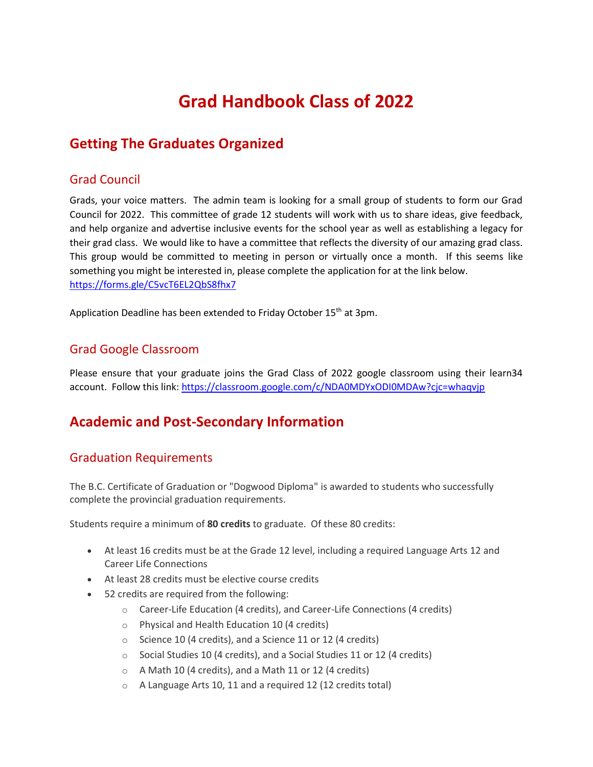# **Grad Handbook Class of 2022**

# **Getting The Graduates Organized**

### Grad Council

Grads, your voice matters. The admin team is looking for a small group of students to form our Grad Council for 2022. This committee of grade 12 students will work with us to share ideas, give feedback, and help organize and advertise inclusive events for the school year as well as establishing a legacy for their grad class. We would like to have a committee that reflects the diversity of our amazing grad class. This group would be committed to meeting in person or virtually once a month. If this seems like something you might be interested in, please complete the application for at the link below. <https://forms.gle/C5vcT6EL2QbS8fhx7>

Application Deadline has been extended to Friday October 15<sup>th</sup> at 3pm.

# Grad Google Classroom

Please ensure that your graduate joins the Grad Class of 2022 google classroom using their learn34 account. Follow this link[: https://classroom.google.com/c/NDA0MDYxODI0MDAw?cjc=whaqvjp](https://classroom.google.com/c/NDA0MDYxODI0MDAw?cjc=whaqvjp)

# **Academic and Post-Secondary Information**

# Graduation Requirements

The B.C. Certificate of Graduation or "Dogwood Diploma" is awarded to students who successfully complete the provincial graduation requirements.

Students require a minimum of **80 credits** to graduate. Of these 80 credits:

- At least 16 credits must be at the Grade 12 level, including a required Language Arts 12 and Career Life Connections
- At least 28 credits must be elective course credits
- 52 credits are required from the following:
	- o Career-Life Education (4 credits), and Career-Life Connections (4 credits)
	- o Physical and Health Education 10 (4 credits)
	- o Science 10 (4 credits), and a Science 11 or 12 (4 credits)
	- o Social Studies 10 (4 credits), and a Social Studies 11 or 12 (4 credits)
	- o A Math 10 (4 credits), and a Math 11 or 12 (4 credits)
	- o A Language Arts 10, 11 and a required 12 (12 credits total)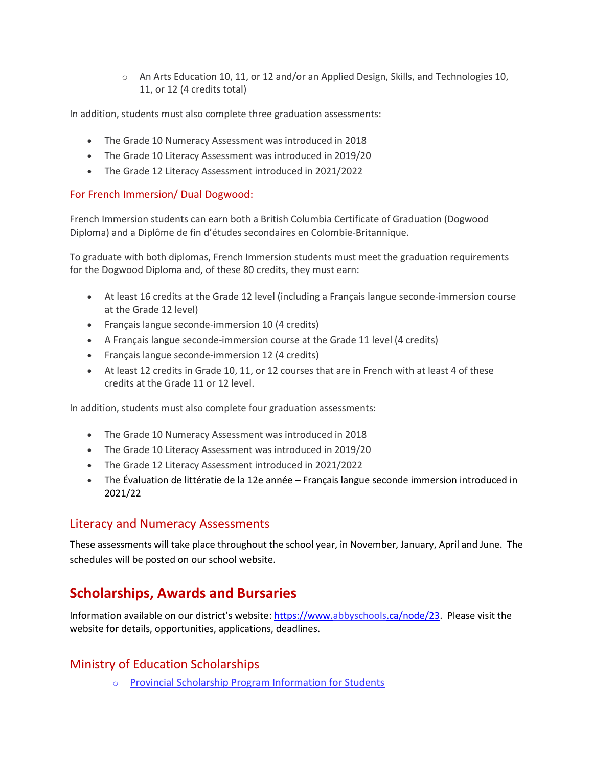$\circ$  An Arts Education 10, 11, or 12 and/or an Applied Design, Skills, and Technologies 10, 11, or 12 (4 credits total)

In addition, students must also complete three graduation assessments:

- The Grade 10 Numeracy Assessment was introduced in 2018
- The Grade 10 Literacy Assessment was introduced in 2019/20
- The Grade 12 Literacy Assessment introduced in 2021/2022

#### For French Immersion/ Dual Dogwood:

French Immersion students can earn both a British Columbia Certificate of Graduation (Dogwood Diploma) and a Diplôme de fin d'études secondaires en Colombie-Britannique.

To graduate with both diplomas, French Immersion students must meet the graduation requirements for the Dogwood Diploma and, of these 80 credits, they must earn:

- At least 16 credits at the Grade 12 level (including a Français langue seconde-immersion course at the Grade 12 level)
- Français langue seconde-immersion 10 (4 credits)
- A Français langue seconde-immersion course at the Grade 11 level (4 credits)
- Français langue seconde-immersion 12 (4 credits)
- At least 12 credits in Grade 10, 11, or 12 courses that are in French with at least 4 of these credits at the Grade 11 or 12 level.

In addition, students must also complete four graduation assessments:

- The Grade 10 Numeracy Assessment was introduced in 2018
- The Grade 10 Literacy Assessment was introduced in 2019/20
- The Grade 12 Literacy Assessment introduced in 2021/2022
- The Évaluation de littératie de la 12e année Français langue seconde immersion introduced in 2021/22

# Literacy and Numeracy Assessments

These assessments will take place throughout the school year, in November, January, April and June. The schedules will be posted on our school website.

# **Scholarships, Awards and Bursaries**

Information available on our district's website: [https://www.abbyschools.ca/node/23.](https://www.abbyschools.ca/node/23) Please visit the website for details, opportunities, applications, deadlines.

# Ministry of Education Scholarships

o [Provincial Scholarship Program Information for Students](https://www2.gov.bc.ca/gov/content/education-training/k-12/support/scholarships/provincial-scholarships)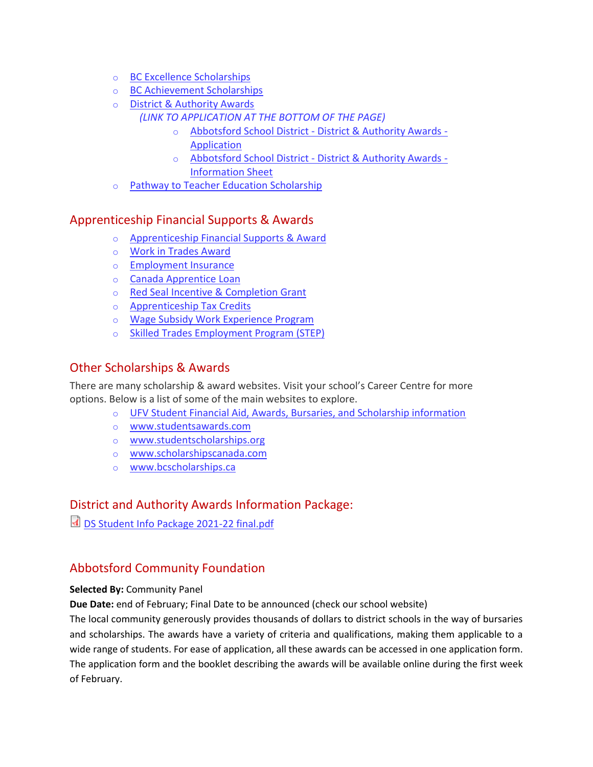- o [BC Excellence Scholarships](https://www2.gov.bc.ca/gov/content/education-training/k-12/support/scholarships/provincial-scholarships/bc-excellence-scholarships)
- o [BC Achievement Scholarships](https://www2.gov.bc.ca/gov/content/education-training/k-12/support/scholarships/provincial-scholarships/bc-achievement-scholarships)
- o [District & Authority Awards](https://www.abbyschools.ca/announcement/district-scholarship-awards-program-now-open) *(LINK TO APPLICATION AT THE BOTTOM OF THE PAGE)*
	- o Abbotsford School District [District & Authority Awards -](https://docs.google.com/forms/d/e/1FAIpQLSflSD1HTBN1_7YeQWLqSktz3xXasCYsgK6tKBy1UnuP4uO6pA/viewform?usp=sf_link) [Application](https://docs.google.com/forms/d/e/1FAIpQLSflSD1HTBN1_7YeQWLqSktz3xXasCYsgK6tKBy1UnuP4uO6pA/viewform?usp=sf_link)
	- o Abbotsford School District [District & Authority Awards -](https://www.abbyschools.ca/sites/default/files/DS%20Student%20Info%20Package%202021-22%20final.pdf) [Information Sheet](https://www.abbyschools.ca/sites/default/files/DS%20Student%20Info%20Package%202021-22%20final.pdf)
- o [Pathway to Teacher Education Scholarship](https://www2.gov.bc.ca/gov/content/education-training/k-12/support/scholarships/provincial-scholarships/pathway-to-teacher-education-scholarship)

# Apprenticeship Financial Supports & Awards

- o [Apprenticeship Financial Supports & Award](http://www.itabc.ca/sites/default/files/docs/Trades-Training/ITA_Financial_PDF01.pdf)
- o [Work in Trades Award](https://www2.gov.bc.ca/gov/content/education-training/k-12/support/career-programs/apprenticeship-and-trades/youth-work-in-trades)
- o [Employment Insurance](http://www.itabc.ca/grants-tax-credits/employment-insurance)
- o [Canada Apprentice Loan](http://www.itabc.ca/canada-apprentice-loan)
- o [Red Seal Incentive & Completion Grant](http://www.itabc.ca/grants-tax-credits/grants)
- o [Apprenticeship Tax Credits](http://www.itabc.ca/grants-tax-credits/tax-credits)
- o [Wage Subsidy Work Experience Program](http://www.employmentconnections.bc.ca/wage-subsidy-program-for-employers/)
- o [Skilled Trades Employment Program \(STEP\)](http://www.stepbc.ca/about/)

# Other Scholarships & Awards

There are many scholarship & award websites. Visit your school's Career Centre for more options. Below is a list of some of the main websites to explore.

- o [UFV Student Financial Aid, Awards, Bursaries, and Scholarship information](https://ufv.ca/fineaid/)
- o [www.studentsawards.com](http://www.studentsawards.com/)
- o [www.studentscholarships.org](http://www.studentscholarships.org/)
- o [www.scholarshipscanada.com](http://www.scholarshipscanada.com/)
- o [www.bcscholarships.ca](http://www.bcscholarships.ca/)

# District and Authority Awards Information Package:

[DS Student Info Package 2021-22 final.pdf](https://www.abbyschools.ca/sites/default/files/DS%20Student%20Info%20Package%202021-22%20final.pdf)

# Abbotsford Community Foundation

#### **Selected By:** Community Panel

**Due Date:** end of February; Final Date to be announced (check our school website)

The local community generously provides thousands of dollars to district schools in the way of bursaries and scholarships. The awards have a variety of criteria and qualifications, making them applicable to a wide range of students. For ease of application, all these awards can be accessed in one application form. The application form and the booklet describing the awards will be available online during the first week of February.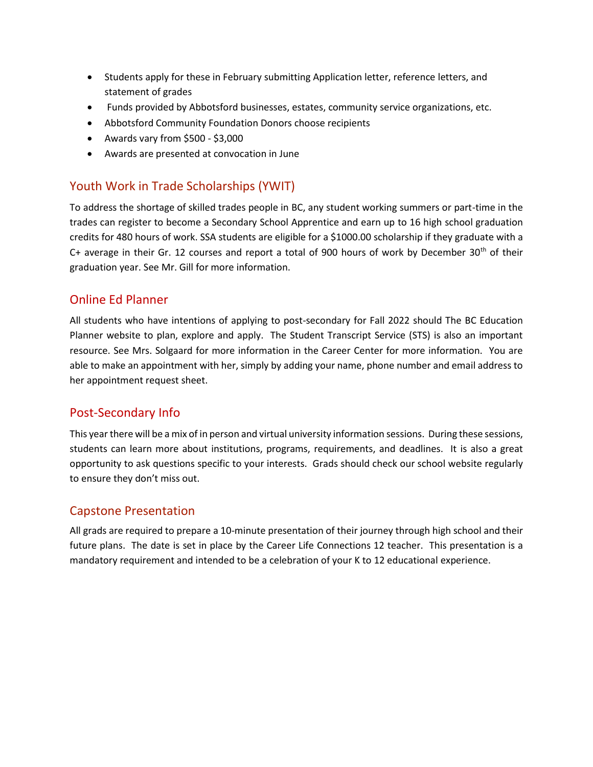- Students apply for these in February submitting Application letter, reference letters, and statement of grades
- Funds provided by Abbotsford businesses, estates, community service organizations, etc.
- Abbotsford Community Foundation Donors choose recipients
- Awards vary from \$500 \$3,000
- Awards are presented at convocation in June

# Youth Work in Trade Scholarships (YWIT)

To address the shortage of skilled trades people in BC, any student working summers or part-time in the trades can register to become a Secondary School Apprentice and earn up to 16 high school graduation credits for 480 hours of work. SSA students are eligible for a \$1000.00 scholarship if they graduate with a C+ average in their Gr. 12 courses and report a total of 900 hours of work by December  $30<sup>th</sup>$  of their graduation year. See Mr. Gill for more information.

# Online Ed Planner

All students who have intentions of applying to post-secondary for Fall 2022 should The BC Education Planner website to plan, explore and apply. The Student Transcript Service (STS) is also an important resource. See Mrs. Solgaard for more information in the Career Center for more information. You are able to make an appointment with her, simply by adding your name, phone number and email address to her appointment request sheet.

# Post-Secondary Info

This year there will be a mix of in person and virtual university information sessions. During these sessions, students can learn more about institutions, programs, requirements, and deadlines. It is also a great opportunity to ask questions specific to your interests. Grads should check our school website regularly to ensure they don't miss out.

#### Capstone Presentation

All grads are required to prepare a 10-minute presentation of their journey through high school and their future plans. The date is set in place by the Career Life Connections 12 teacher. This presentation is a mandatory requirement and intended to be a celebration of your K to 12 educational experience.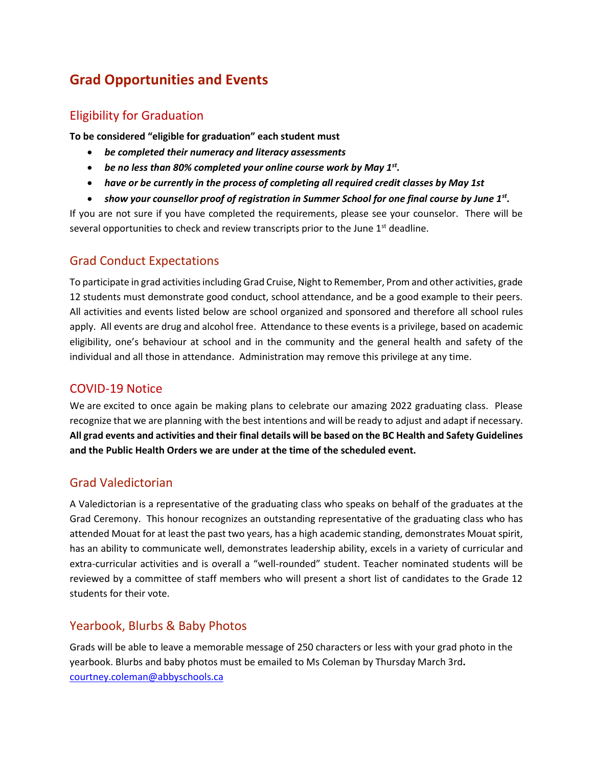# **Grad Opportunities and Events**

# Eligibility for Graduation

**To be considered "eligible for graduation" each student must**

- *be completed their numeracy and literacy assessments*
- *be no less than 80% completed your online course work by May 1st .*
- *have or be currently in the process of completing all required credit classes by May 1st*
- *show your counsellor proof of registration in Summer School for one final course by June 1st .*

If you are not sure if you have completed the requirements, please see your counselor. There will be several opportunities to check and review transcripts prior to the June  $1<sup>st</sup>$  deadline.

### Grad Conduct Expectations

To participate in grad activities including Grad Cruise, Night to Remember, Prom and other activities, grade 12 students must demonstrate good conduct, school attendance, and be a good example to their peers. All activities and events listed below are school organized and sponsored and therefore all school rules apply. All events are drug and alcohol free. Attendance to these events is a privilege, based on academic eligibility, one's behaviour at school and in the community and the general health and safety of the individual and all those in attendance. Administration may remove this privilege at any time.

#### COVID-19 Notice

We are excited to once again be making plans to celebrate our amazing 2022 graduating class. Please recognize that we are planning with the best intentions and will be ready to adjust and adapt if necessary. **All grad events and activities and their final details will be based on the BC Health and Safety Guidelines and the Public Health Orders we are under at the time of the scheduled event.** 

# Grad Valedictorian

A Valedictorian is a representative of the graduating class who speaks on behalf of the graduates at the Grad Ceremony. This honour recognizes an outstanding representative of the graduating class who has attended Mouat for at least the past two years, has a high academic standing, demonstrates Mouat spirit, has an ability to communicate well, demonstrates leadership ability, excels in a variety of curricular and extra-curricular activities and is overall a "well-rounded" student. Teacher nominated students will be reviewed by a committee of staff members who will present a short list of candidates to the Grade 12 students for their vote.

#### Yearbook, Blurbs & Baby Photos

Grads will be able to leave a memorable message of 250 characters or less with your grad photo in the yearbook. Blurbs and baby photos must be emailed to Ms Coleman by Thursday March 3rd**.**  [courtney.coleman@abbyschools.ca](mailto:courtney.coleman@abbyschools.ca)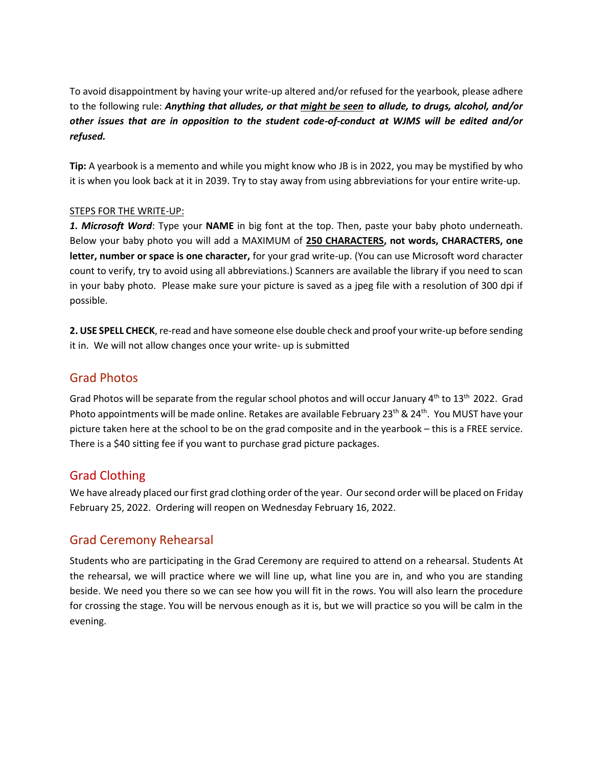To avoid disappointment by having your write-up altered and/or refused for the yearbook, please adhere to the following rule: *Anything that alludes, or that might be seen to allude, to drugs, alcohol, and/or other issues that are in opposition to the student code-of-conduct at WJMS will be edited and/or refused.*

**Tip:** A yearbook is a memento and while you might know who JB is in 2022, you may be mystified by who it is when you look back at it in 2039. Try to stay away from using abbreviations for your entire write-up.

#### STEPS FOR THE WRITE-UP:

*1. Microsoft Word*: Type your **NAME** in big font at the top. Then, paste your baby photo underneath. Below your baby photo you will add a MAXIMUM of **250 CHARACTERS, not words, CHARACTERS, one letter, number or space is one character,** for your grad write-up. (You can use Microsoft word character count to verify, try to avoid using all abbreviations.) Scanners are available the library if you need to scan in your baby photo. Please make sure your picture is saved as a jpeg file with a resolution of 300 dpi if possible.

**2. USE SPELL CHECK**, re-read and have someone else double check and proof your write-up before sending it in. We will not allow changes once your write- up is submitted

#### Grad Photos

Grad Photos will be separate from the regular school photos and will occur January 4<sup>th</sup> to 13<sup>th</sup> 2022. Grad Photo appointments will be made online. Retakes are available February 23<sup>th</sup> & 24<sup>th</sup>. You MUST have your picture taken here at the school to be on the grad composite and in the yearbook – this is a FREE service. There is a \$40 sitting fee if you want to purchase grad picture packages.

# Grad Clothing

We have already placed our first grad clothing order of the year. Our second order will be placed on Friday February 25, 2022. Ordering will reopen on Wednesday February 16, 2022.

# Grad Ceremony Rehearsal

Students who are participating in the Grad Ceremony are required to attend on a rehearsal. Students At the rehearsal, we will practice where we will line up, what line you are in, and who you are standing beside. We need you there so we can see how you will fit in the rows. You will also learn the procedure for crossing the stage. You will be nervous enough as it is, but we will practice so you will be calm in the evening.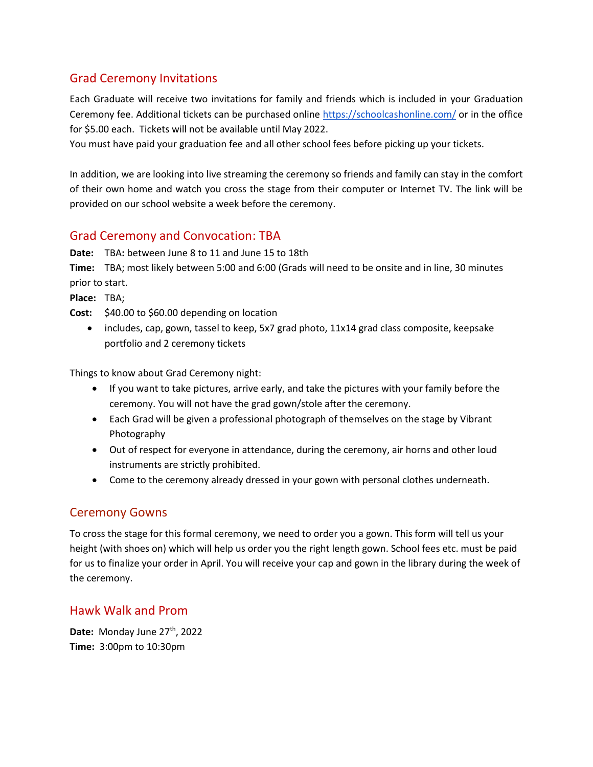# Grad Ceremony Invitations

Each Graduate will receive two invitations for family and friends which is included in your Graduation Ceremony fee. Additional tickets can be purchased online <https://schoolcashonline.com/> or in the office for \$5.00 each. Tickets will not be available until May 2022.

You must have paid your graduation fee and all other school fees before picking up your tickets.

In addition, we are looking into live streaming the ceremony so friends and family can stay in the comfort of their own home and watch you cross the stage from their computer or Internet TV. The link will be provided on our school website a week before the ceremony.

# Grad Ceremony and Convocation: TBA

**Date:** TBA**:** between June 8 to 11 and June 15 to 18th

**Time:** TBA; most likely between 5:00 and 6:00 (Grads will need to be onsite and in line, 30 minutes prior to start.

**Place:** TBA;

- **Cost:** \$40.00 to \$60.00 depending on location
	- includes, cap, gown, tassel to keep, 5x7 grad photo, 11x14 grad class composite, keepsake portfolio and 2 ceremony tickets

Things to know about Grad Ceremony night:

- If you want to take pictures, arrive early, and take the pictures with your family before the ceremony. You will not have the grad gown/stole after the ceremony.
- Each Grad will be given a professional photograph of themselves on the stage by Vibrant Photography
- Out of respect for everyone in attendance, during the ceremony, air horns and other loud instruments are strictly prohibited.
- Come to the ceremony already dressed in your gown with personal clothes underneath.

# Ceremony Gowns

To cross the stage for this formal ceremony, we need to order you a gown. This form will tell us your height (with shoes on) which will help us order you the right length gown. School fees etc. must be paid for us to finalize your order in April. You will receive your cap and gown in the library during the week of the ceremony.

# Hawk Walk and Prom

Date: Monday June 27<sup>th</sup>, 2022 **Time:** 3:00pm to 10:30pm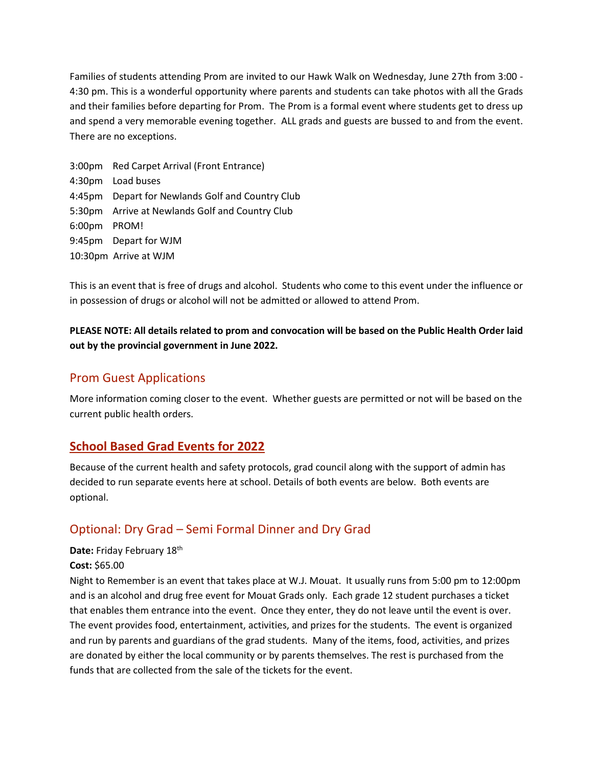Families of students attending Prom are invited to our Hawk Walk on Wednesday, June 27th from 3:00 - 4:30 pm. This is a wonderful opportunity where parents and students can take photos with all the Grads and their families before departing for Prom. The Prom is a formal event where students get to dress up and spend a very memorable evening together. ALL grads and guests are bussed to and from the event. There are no exceptions.

3:00pm Red Carpet Arrival (Front Entrance) 4:30pm Load buses 4:45pm Depart for Newlands Golf and Country Club 5:30pm Arrive at Newlands Golf and Country Club 6:00pm PROM! 9:45pm Depart for WJM 10:30pm Arrive at WJM

This is an event that is free of drugs and alcohol. Students who come to this event under the influence or in possession of drugs or alcohol will not be admitted or allowed to attend Prom.

### **PLEASE NOTE: All details related to prom and convocation will be based on the Public Health Order laid out by the provincial government in June 2022.**

# Prom Guest Applications

More information coming closer to the event. Whether guests are permitted or not will be based on the current public health orders.

# **School Based Grad Events for 2022**

Because of the current health and safety protocols, grad council along with the support of admin has decided to run separate events here at school. Details of both events are below. Both events are optional.

# Optional: Dry Grad – Semi Formal Dinner and Dry Grad

#### Date: Friday February 18<sup>th</sup>

#### **Cost:** \$65.00

Night to Remember is an event that takes place at W.J. Mouat. It usually runs from 5:00 pm to 12:00pm and is an alcohol and drug free event for Mouat Grads only. Each grade 12 student purchases a ticket that enables them entrance into the event. Once they enter, they do not leave until the event is over. The event provides food, entertainment, activities, and prizes for the students. The event is organized and run by parents and guardians of the grad students. Many of the items, food, activities, and prizes are donated by either the local community or by parents themselves. The rest is purchased from the funds that are collected from the sale of the tickets for the event.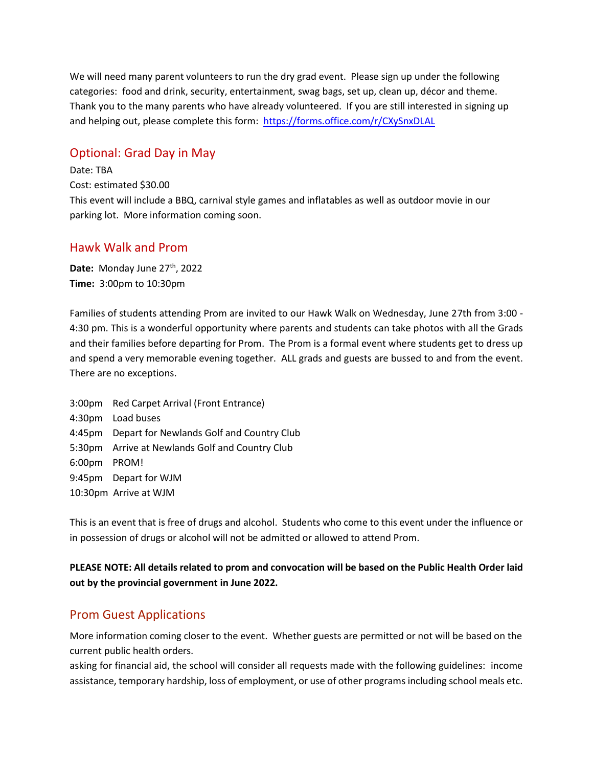We will need many parent volunteers to run the dry grad event. Please sign up under the following categories: food and drink, security, entertainment, swag bags, set up, clean up, décor and theme. Thank you to the many parents who have already volunteered. If you are still interested in signing up and helping out, please complete this form: <https://forms.office.com/r/CXySnxDLAL>

# Optional: Grad Day in May

Date: TBA Cost: estimated \$30.00 This event will include a BBQ, carnival style games and inflatables as well as outdoor movie in our parking lot. More information coming soon.

#### Hawk Walk and Prom

Date: Monday June 27<sup>th</sup>, 2022 **Time:** 3:00pm to 10:30pm

Families of students attending Prom are invited to our Hawk Walk on Wednesday, June 27th from 3:00 - 4:30 pm. This is a wonderful opportunity where parents and students can take photos with all the Grads and their families before departing for Prom. The Prom is a formal event where students get to dress up and spend a very memorable evening together. ALL grads and guests are bussed to and from the event. There are no exceptions.

3:00pm Red Carpet Arrival (Front Entrance) 4:30pm Load buses 4:45pm Depart for Newlands Golf and Country Club 5:30pm Arrive at Newlands Golf and Country Club 6:00pm PROM! 9:45pm Depart for WJM 10:30pm Arrive at WJM

This is an event that is free of drugs and alcohol. Students who come to this event under the influence or in possession of drugs or alcohol will not be admitted or allowed to attend Prom.

**PLEASE NOTE: All details related to prom and convocation will be based on the Public Health Order laid out by the provincial government in June 2022.**

#### Prom Guest Applications

More information coming closer to the event. Whether guests are permitted or not will be based on the current public health orders.

asking for financial aid, the school will consider all requests made with the following guidelines: income assistance, temporary hardship, loss of employment, or use of other programs including school meals etc.